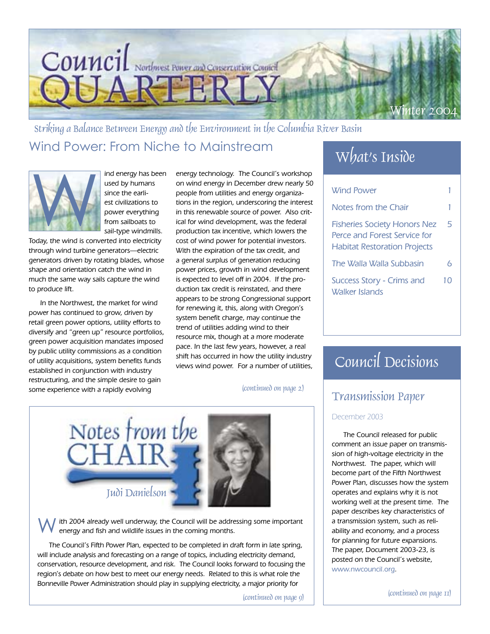

Wind Power: From Niche to Mainstream What's Inside Striking a Balance Between Energy and the Environment in the Columbia River Basin



ind energy has been used by humans since the earliest civilizations to power everything from sailboats to sail-type windmills.

Today, the wind is converted into electricity through wind turbine generators—electric generators driven by rotating blades, whose shape and orientation catch the wind in much the same way sails capture the wind to produce lift.

In the Northwest, the market for wind power has continued to grow, driven by retail green power options, utility efforts to diversify and "green up" resource portfolios, green power acquisition mandates imposed by public utility commissions as a condition of utility acquisitions, system benefits funds established in conjunction with industry restructuring, and the simple desire to gain some experience with a rapidly evolving

energy technology. The Council's workshop on wind energy in December drew nearly 50 people from utilities and energy organizations in the region, underscoring the interest in this renewable source of power. Also critical for wind development, was the federal production tax incentive, which lowers the cost of wind power for potential investors. With the expiration of the tax credit, and a general surplus of generation reducing power prices, growth in wind development is expected to level off in 2004. If the production tax credit is reinstated, and there appears to be strong Congressional support for renewing it, this, along with Oregon's system benefit charge, may continue the trend of utilities adding wind to their resource mix, though at a more moderate pace. In the last few years, however, a real shift has occurred in how the utility industry views wind power. For a number of utilities,

(continued on page 2)



ith 2004 already well underway, the Council will be addressing some important energy and fish and wildlife issues in the coming months.

The Council's Fifth Power Plan, expected to be completed in draft form in late spring, will include analysis and forecasting on a range of topics, including electricity demand, conservation, resource development, and risk. The Council looks forward to focusing the region's debate on how best to meet our energy needs. Related to this is what role the Bonneville Power Administration should play in supplying electricity, a major priority for

(continued on page 9)

| Wind Power                                                                                                 |    |
|------------------------------------------------------------------------------------------------------------|----|
| Notes from the Chair                                                                                       |    |
| <b>Fisheries Society Honors Nez</b><br>Perce and Forest Service for<br><b>Habitat Restoration Projects</b> | 5  |
| The Walla Walla Subbasin                                                                                   | ħ  |
| Success Story - Crims and<br>Walker Islands                                                                | 10 |

## Council Decisions

### Transmission Paper

#### December 2003

The Council released for public comment an issue paper on transmission of high-voltage electricity in the Northwest. The paper, which will become part of the Fifth Northwest Power Plan, discusses how the system operates and explains why it is not working well at the present time. The paper describes key characteristics of a transmission system, such as reliability and economy, and a process for planning for future expansions. The paper, Document 2003-23, is posted on the Council's website, www.nwcouncil.org.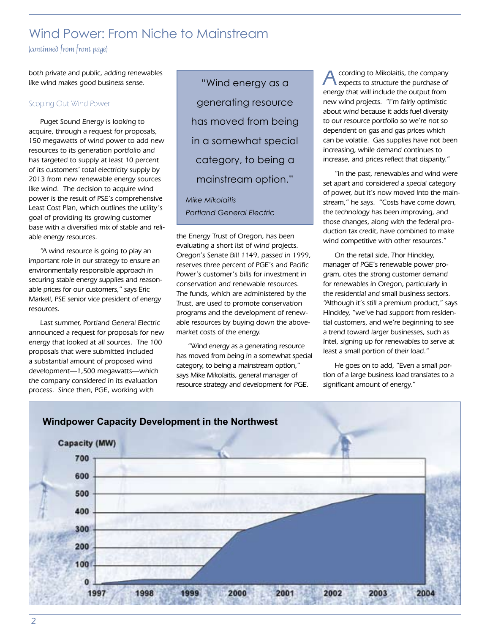## Wind Power: From Niche to Mainstream

(continued from front page)

both private and public, adding renewables like wind makes good business sense.

#### Scoping Out Wind Power

Puget Sound Energy is looking to acquire, through a request for proposals, 150 megawatts of wind power to add new resources to its generation portfolio and has targeted to supply at least 10 percent of its customers' total electricity supply by 2013 from new renewable energy sources like wind. The decision to acquire wind power is the result of PSE's comprehensive Least Cost Plan, which outlines the utility's goal of providing its growing customer base with a diversified mix of stable and reliable energy resources.

"A wind resource is going to play an important role in our strategy to ensure an environmentally responsible approach in securing stable energy supplies and reasonable prices for our customers," says Eric Markell, PSE senior vice president of energy resources.

Last summer, Portland General Electric announced a request for proposals for new energy that looked at all sources. The 100 proposals that were submitted included a substantial amount of proposed wind development—1,500 megawatts—which the company considered in its evaluation process. Since then, PGE, working with

"Wind energy as a generating resource has moved from being in a somewhat special category, to being a mainstream option."

*Mike Mikolaitis Portland General Electric*

the Energy Trust of Oregon, has been evaluating a short list of wind projects. Oregon's Senate Bill 1149, passed in 1999, reserves three percent of PGE's and Pacific Power's customer's bills for investment in conservation and renewable resources. The funds, which are administered by the Trust, are used to promote conservation programs and the development of renewable resources by buying down the abovemarket costs of the energy.

"Wind energy as a generating resource has moved from being in a somewhat special category, to being a mainstream option," says Mike Mikolaitis, general manager of resource strategy and development for PGE.

ccording to Mikolaitis, the company expects to structure the purchase of energy that will include the output from new wind projects. "I'm fairly optimistic about wind because it adds fuel diversity to our resource portfolio so we're not so dependent on gas and gas prices which can be volatile. Gas supplies have not been increasing, while demand continues to increase, and prices reflect that disparity."

"In the past, renewables and wind were set apart and considered a special category of power, but it's now moved into the mainstream," he says. "Costs have come down, the technology has been improving, and those changes, along with the federal production tax credit, have combined to make wind competitive with other resources."

On the retail side, Thor Hinckley, manager of PGE's renewable power program, cites the strong customer demand for renewables in Oregon, particularly in the residential and small business sectors. "Although it's still a premium product," says Hinckley, "we've had support from residential customers, and we're beginning to see a trend toward larger businesses, such as Intel, signing up for renewables to serve at least a small portion of their load."

He goes on to add, "Even a small portion of a large business load translates to a significant amount of energy."

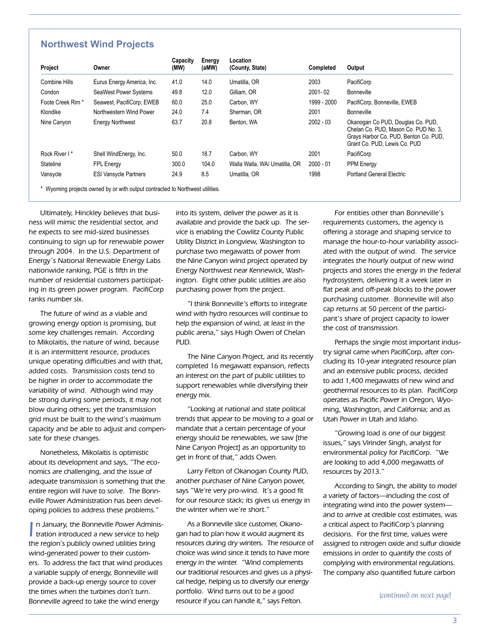#### **Northwest Wind Projects**

| Project           | Owner                        | Capacity<br>(MW) | Energy<br>(aMW) | Location<br>(County, State)   | <b>Completed</b> | Output                                                                                                                                             |
|-------------------|------------------------------|------------------|-----------------|-------------------------------|------------------|----------------------------------------------------------------------------------------------------------------------------------------------------|
| Combine Hills     | Eurus Energy America, Inc.   | 41.0             | 14.0            | Umatilla, OR                  | 2003             | PacifiCorp                                                                                                                                         |
| Condon            | SeaWest Power Systems        | 49.8             | 12.0            | Gilliam, OR                   | $2001 - 02$      | Bonneville                                                                                                                                         |
| Foote Creek Rim * | Seawest, PacifiCorp; EWEB    | 60.0             | 25.0            | Carbon, WY                    | 1999 - 2000      | PacifiCorp, Bonneville, EWEB                                                                                                                       |
| Klondike          | Northwestern Wind Power      | 24.0             | 7.4             | Sherman, OR                   | 2001             | Bonneville                                                                                                                                         |
| Nine Canyon       | <b>Energy Northwest</b>      | 63.7             | 20.8            | Benton, WA                    | $2002 - 03$      | Okanogan Co PUD, Douglas Co. PUD,<br>Chelan Co. PUD, Mason Co. PUD No. 3,<br>Grays Harbor Co. PUD, Benton Co. PUD,<br>Grant Co. PUD, Lewis Co. PUD |
| Rock River I*     | Shell WindEnergy, Inc.       | 50.0             | 18.7            | Carbon, WY                    | 2001             | PacifiCorp                                                                                                                                         |
| Stateline         | <b>FPL Energy</b>            | 300.0            | 104.0           | Walla Walla, WA/ Umatilla, OR | $2000 - 01$      | <b>PPM Energy</b>                                                                                                                                  |
| Vansycle          | <b>ESI Vansycle Partners</b> | 24.9             | 8.5             | Umatilla, OR                  | 1998             | <b>Portland General Electric</b>                                                                                                                   |

\* Wyoming projects owned by or with output contracted to Northwest utilities.

Ultimately, Hinckley believes that business will mimic the residential sector, and he expects to see mid-sized businesses continuing to sign up for renewable power through 2004. In the U.S. Department of Energy's National Renewable Energy Labs nationwide ranking, PGE is fifth in the number of residential customers participating in its green power program. PacifiCorp ranks number six.

The future of wind as a viable and growing energy option is promising, but some key challenges remain. According to Mikolaitis, the nature of wind, because it is an intermittent resource, produces unique operating difficulties and with that, added costs. Transmission costs tend to be higher in order to accommodate the variability of wind. Although wind may be strong during some periods, it may not blow during others; yet the transmission grid must be built to the wind's maximum capacity and be able to adjust and compensate for these changes.

Nonetheless, Mikolaitis is optimistic about its development and says, "The economics are challenging, and the issue of adequate transmission is something that the entire region will have to solve. The Bonneville Power Administration has been developing policies to address these problems."

In January, the Bonneville Power Adminis<br>I tration introduced a new service to help n January, the Bonneville Power Administhe region's publicly owned utilities bring wind-generated power to their customers. To address the fact that wind produces a variable supply of energy, Bonneville will provide a back-up energy source to cover the times when the turbines don't turn. Bonneville agreed to take the wind energy

into its system, deliver the power as it is available and provide the back up. The service is enabling the Cowlitz County Public Utility District in Longview, Washington to purchase two megawatts of power from the Nine Canyon wind project operated by Energy Northwest near Kennewick, Washington. Eight other public utilities are also purchasing power from the project.

"I think Bonneville's efforts to integrate wind with hydro resources will continue to help the expansion of wind, at least in the public arena," says Hugh Owen of Chelan PUD.

The Nine Canyon Project, and its recently completed 16 megawatt expansion, reflects an interest on the part of public utilities to support renewables while diversifying their energy mix.

"Looking at national and state political trends that appear to be moving to a goal or mandate that a certain percentage of your energy should be renewables, we saw [the Nine Canyon Project] as an opportunity to get in front of that," adds Owen.

Larry Felton of Okanogan County PUD, another purchaser of Nine Canyon power, says "We're very pro-wind. It's a good fit for our resource stack; its gives us energy in the winter when we're short."

As a Bonneville slice customer, Okanogan had to plan how it would augment its resources during dry winters. The resource of choice was wind since it tends to have more energy in the winter. "Wind complements our traditional resources and gives us a physical hedge, helping us to diversify our energy portfolio. Wind turns out to be a good resource if you can handle it," says Felton.

For entities other than Bonneville's requirements customers, the agency is offering a storage and shaping service to manage the hour-to-hour variability associated with the output of wind. The service integrates the hourly output of new wind projects and stores the energy in the federal hydrosystem, delivering it a week later in flat peak and off-peak blocks to the power purchasing customer. Bonneville will also cap returns at 50 percent of the participant's share of project capacity to lower the cost of transmission.

Perhaps the single most important industry signal came when PacifiCorp, after concluding its 10-year integrated resource plan and an extensive public process, decided to add 1,400 megawatts of new wind and geothermal resources to its plan. PacifiCorp operates as Pacific Power in Oregon, Wyoming, Washington, and California; and as Utah Power in Utah and Idaho.

"Growing load is one of our biggest issues," says Virinder Singh, analyst for environmental policy for PacifiCorp. "We are looking to add 4,000 megawatts of resources by 2013."

According to Singh, the ability to model a variety of factors—including the cost of integrating wind into the power system and to arrive at credible cost estimates, was a critical aspect to PacifiCorp's planning decisions. For the first time, values were assigned to nitrogen oxide and sulfur dioxide emissions in order to quantify the costs of complying with environmental regulations. The company also quantified future carbon

(continued on next page)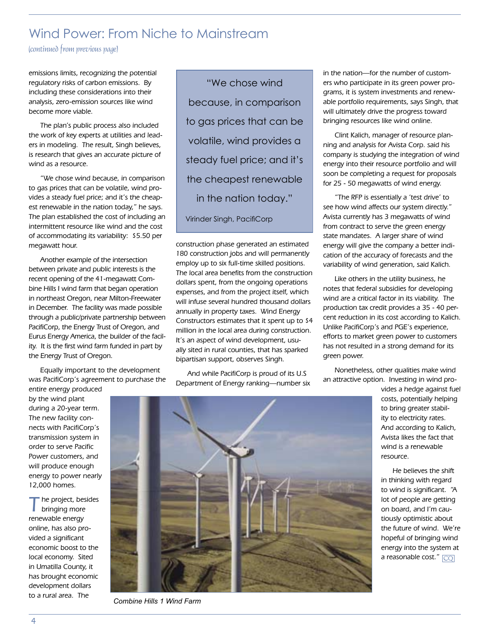## Wind Power: From Niche to Mainstream

(continued from previous page)

emissions limits, recognizing the potential regulatory risks of carbon emissions. By including these considerations into their analysis, zero-emission sources like wind become more viable.

The plan's public process also included the work of key experts at utilities and leaders in modeling. The result, Singh believes, is research that gives an accurate picture of wind as a resource.

"We chose wind because, in comparison to gas prices that can be volatile, wind provides a steady fuel price; and it's the cheapest renewable in the nation today," he says. The plan established the cost of including an intermittent resource like wind and the cost of accommodating its variability: \$5.50 per megawatt hour.

Another example of the intersection between private and public interests is the recent opening of the 41-megawatt Combine Hills I wind farm that began operation in northeast Oregon, near Milton-Freewater in December. The facility was made possible through a public/private partnership between PacifiCorp, the Energy Trust of Oregon, and Eurus Energy America, the builder of the facility. It is the first wind farm funded in part by the Energy Trust of Oregon.

Equally important to the development was PacifiCorp's agreement to purchase the entire energy produced

by the wind plant during a 20-year term. The new facility connects with PacifiCorp's transmission system in order to serve Pacific Power customers, and will produce enough energy to power nearly 12,000 homes.

the project, besides bringing more renewable energy online, has also provided a significant economic boost to the local economy. Sited in Umatilla County, it has brought economic development dollars to a rural area. The

"We chose wind because, in comparison to gas prices that can be volatile, wind provides a steady fuel price; and it's the cheapest renewable in the nation today." Virinder Singh, PacifiCorp

construction phase generated an estimated 180 construction jobs and will permanently employ up to six full-time skilled positions. The local area benefits from the construction dollars spent, from the ongoing operations expenses, and from the project itself, which will infuse several hundred thousand dollars annually in property taxes. Wind Energy Constructors estimates that it spent up to \$4 million in the local area during construction. It's an aspect of wind development, usually sited in rural counties, that has sparked bipartisan support, observes Singh.

And while PacifiCorp is proud of its U.S Department of Energy ranking—number six in the nation—for the number of customers who participate in its green power programs, it is system investments and renewable portfolio requirements, says Singh, that will ultimately drive the progress toward bringing resources like wind online.

Clint Kalich, manager of resource planning and analysis for Avista Corp. said his company is studying the integration of wind energy into their resource portfolio and will soon be completing a request for proposals for 25 - 50 megawatts of wind energy.

"The RFP is essentially a 'test drive' to see how wind affects our system directly." Avista currently has 3 megawatts of wind from contract to serve the green energy state mandates. A larger share of wind energy will give the company a better indication of the accuracy of forecasts and the variability of wind generation, said Kalich.

Like others in the utility business, he notes that federal subsidies for developing wind are a critical factor in its viability. The production tax credit provides a 35 - 40 percent reduction in its cost according to Kalich. Unlike PacifiCorp's and PGE's experience, efforts to market green power to customers has not resulted in a strong demand for its green power.

Nonetheless, other qualities make wind an attractive option. Investing in wind pro-

> vides a hedge against fuel costs, potentially helping to bring greater stability to electricity rates. And according to Kalich, Avista likes the fact that wind is a renewable resource.

> He believes the shift in thinking with regard to wind is significant. "A lot of people are getting on board, and I'm cautiously optimistic about the future of wind. We're hopeful of bringing wind energy into the system at a reasonable cost."  $\boxed{\text{CO}}$



*Combine Hills 1 Wind Farm*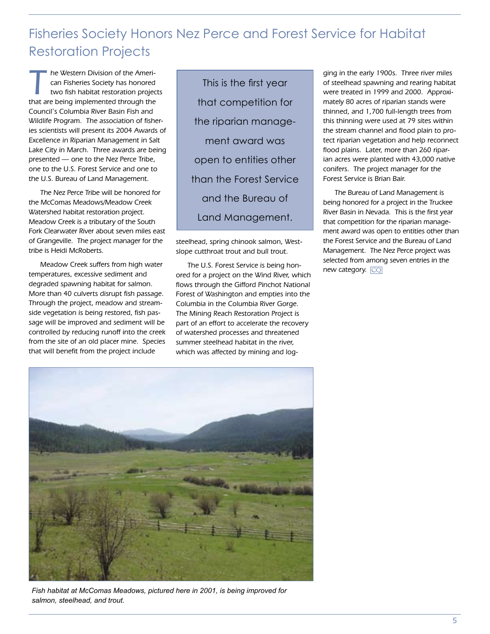## Fisheries Society Honors Nez Perce and Forest Service for Habitat Restoration Projects

The Western Division of the American Fisheries Society has honored<br>two fish habitat restoration projects<br>that are being implemented through the can Fisheries Society has honored that are being implemented through the Council's Columbia River Basin Fish and Wildlife Program. The association of fisheries scientists will present its 2004 Awards of Excellence in Riparian Management in Salt Lake City in March. Three awards are being presented — one to the Nez Perce Tribe, one to the U.S. Forest Service and one to the U.S. Bureau of Land Management.

The Nez Perce Tribe will be honored for the McComas Meadows/Meadow Creek Watershed habitat restoration project. Meadow Creek is a tributary of the South Fork Clearwater River about seven miles east of Grangeville. The project manager for the tribe is Heidi McRoberts.

Meadow Creek suffers from high water temperatures, excessive sediment and degraded spawning habitat for salmon. More than 40 culverts disrupt fish passage. Through the project, meadow and streamside vegetation is being restored, fish passage will be improved and sediment will be controlled by reducing runoff into the creek from the site of an old placer mine. Species that will benefit from the project include

This is the first year that competition for the riparian management award was open to entities other than the Forest Service and the Bureau of Land Management.

steelhead, spring chinook salmon, Westslope cutthroat trout and bull trout.

The U.S. Forest Service is being honored for a project on the Wind River, which flows through the Gifford Pinchot National Forest of Washington and empties into the Columbia in the Columbia River Gorge. The Mining Reach Restoration Project is part of an effort to accelerate the recovery of watershed processes and threatened summer steelhead habitat in the river, which was affected by mining and logging in the early 1900s. Three river miles of steelhead spawning and rearing habitat were treated in 1999 and 2000. Approximately 80 acres of riparian stands were thinned, and 1,700 full-length trees from this thinning were used at 79 sites within the stream channel and flood plain to protect riparian vegetation and help reconnect flood plains. Later, more than 260 riparian acres were planted with 43,000 native conifers. The project manager for the Forest Service is Brian Bair.

The Bureau of Land Management is being honored for a project in the Truckee River Basin in Nevada. This is the first year that competition for the riparian management award was open to entities other than the Forest Service and the Bureau of Land Management. The Nez Perce project was selected from among seven entries in the new category.  $\boxed{\text{CQ}}$ 



*Fish habitat at McComas Meadows, pictured here in 2001, is being improved for salmon, steelhead, and trout.*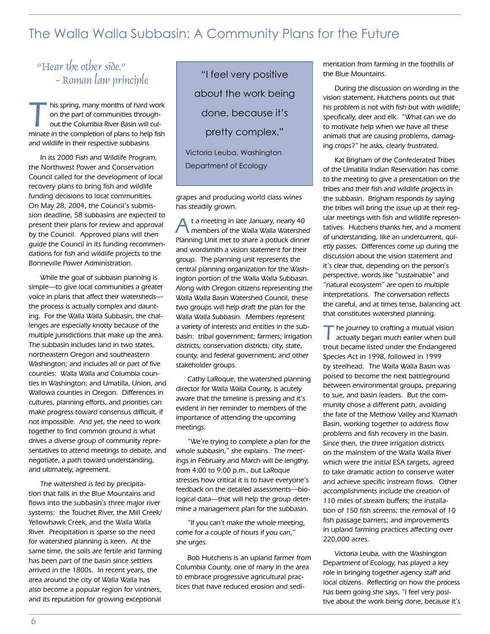## The Walla Walla Subbasin: A Community Plans for the Future

## "Hear the other side." - Roman law principle

his spring, many months of hard work on the part of communities throughout the Columbia River Basin will culminate in the completion of plans to help fish and wildlife in their respective subbasins.

In its 2000 Fish and Wildlife Program, the Northwest Power and Conservation Council called for the development of local recovery plans to bring fish and wildlife funding decisions to local communities. On May 28, 2004, the Council's submission deadline, 58 subbasins are expected to present their plans for review and approval by the Council. Approved plans will then guide the Council in its funding recommendations for fish and wildlife projects to the Bonneville Power Administration.

While the goal of subbasin planning is simple—to give local communities a greater voice in plans that affect their watersheds the process is actually complex and daunting. For the Walla Walla Subbasin, the challenges are especially knotty because of the multiple jurisdictions that make up the area. The subbasin includes land in two states, northeastern Oregon and southeastern Washington; and includes all or part of five counties: Walla Walla and Columbia counties in Washington; and Umatilla, Union, and Wallowa counties in Oregon. Differences in cultures, planning efforts, and priorities can make progress toward consensus difficult, if not impossible. And yet, the need to work together to find common ground is what drives a diverse group of community representatives to attend meetings to debate, and negotiate, a path toward understanding, and ultimately, agreement.

The watershed is fed by precipitation that falls in the Blue Mountains and flows into the subbasin's three major river systems: the Touchet River, the Mill Creek/ Yellowhawk Creek, and the Walla Walla River. Precipitation is sparse so the need for watershed planning is keen. At the same time, the soils are fertile and farming has been part of the basin since settlers arrived in the 1800s. In recent years, the area around the city of Walla Walla has also become a popular region for vintners, and its reputation for growing exceptional

"I feel very positive about the work being done, because it's pretty complex."

Victoria Leuba, Washington Department of Ecology

grapes and producing world class wines has steadily grown.

t a meeting in late January, nearly 40 members of the Walla Walla Watershed Planning Unit met to share a potluck dinner and wordsmith a vision statement for their group. The planning unit represents the central planning organization for the Washington portion of the Walla Walla Subbasin. Along with Oregon citizens representing the Walla Walla Basin Watershed Council, these two groups will help draft the plan for the Walla Walla Subbasin. Members represent a variety of interests and entities in the subbasin: tribal government; farmers; irrigation districts; conservation districts; city, state, county, and federal government; and other stakeholder groups.

Cathy LaRoque, the watershed planning director for Walla Walla County, is acutely aware that the timeline is pressing and it's evident in her reminder to members of the importance of attending the upcoming meetings.

"We're trying to complete a plan for the whole subbasin," she explains. The meetings in February and March will be lengthy, from 4:00 to 9:00 p.m., but LaRoque stresses how critical it is to have everyone's feedback on the detailed assessments—biological data—that will help the group determine a management plan for the subbasin.

"If you can't make the whole meeting, come for a couple of hours if you can," she urges.

Bob Hutchens is an upland farmer from Columbia County, one of many in the area to embrace progressive agricultural practices that have reduced erosion and sedimentation from farming in the foothills of the Blue Mountains.

During the discussion on wording in the vision statement, Hutchens points out that his problem is not with fish but with wildlife; specifically, deer and elk. "What can we do to motivate help when we have all these animals that are causing problems, damaging crops?" he asks, clearly frustrated.

Kat Brigham of the Confederated Tribes of the Umatilla Indian Reservation has come to the meeting to give a presentation on the tribes and their fish and wildlife projects in the subbasin. Brigham responds by saying the tribes will bring the issue up at their regular meetings with fish and wildlife representatives. Hutchens thanks her, and a moment of understanding, like an undercurrent, quietly passes. Differences come up during the discussion about the vision statement and it's clear that, depending on the person's perspective, words like "sustainable" and "natural ecosystem" are open to multiple interpretations. The conversation reflects the careful, and at times tense, balancing act that constitutes watershed planning.

The journey to crafting a mutual vision actually began much earlier when bull trout became listed under the Endangered Species Act in 1998, followed in 1999 by steelhead. The Walla Walla Basin was poised to become the next battleground between environmental groups, preparing to sue, and basin leaders. But the community chose a different path, avoiding the fate of the Methow Valley and Klamath Basin, working together to address flow problems and fish recovery in the basin. Since then, the three irrigation districts on the mainstem of the Walla Walla River which were the initial ESA targets, agreed to take dramatic action to conserve water and achieve specific instream flows. Other accomplishments include the creation of 110 miles of stream buffers; the installation of 150 fish screens; the removal of 10 fish passage barriers; and improvements in upland farming practices affecting over 220,000 acres.

Victoria Leuba, with the Washington Department of Ecology, has played a key role in bringing together agency staff and local citizens. Reflecting on how the process has been going she says, "I feel very positive about the work being done, because it's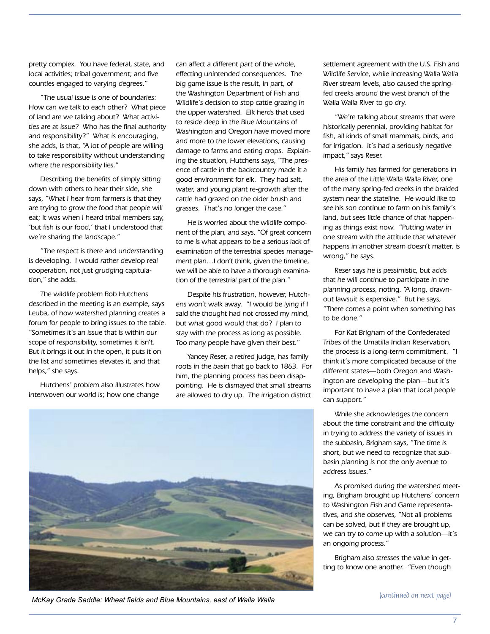pretty complex. You have federal, state, and local activities; tribal government; and five counties engaged to varying degrees."

"The usual issue is one of boundaries: How can we talk to each other? What piece of land are we talking about? What activities are at issue? Who has the final authority and responsibility?" What is encouraging, she adds, is that, "A lot of people are willing to take responsibility without understanding where the responsibility lies."

Describing the benefits of simply sitting down with others to hear their side, she says, "What I hear from farmers is that they are trying to grow the food that people will eat; it was when I heard tribal members say, 'but fish is our food,' that I understood that we're sharing the landscape."

"The respect is there and understanding is developing. I would rather develop real cooperation, not just grudging capitulation," she adds.

The wildlife problem Bob Hutchens described in the meeting is an example, says Leuba, of how watershed planning creates a forum for people to bring issues to the table. "Sometimes it's an issue that is within our scope of responsibility, sometimes it isn't. But it brings it out in the open, it puts it on the list and sometimes elevates it, and that helps," she says.

Hutchens' problem also illustrates how interwoven our world is; how one change

can affect a different part of the whole, effecting unintended consequences. The big game issue is the result, in part, of the Washington Department of Fish and Wildlife's decision to stop cattle grazing in the upper watershed. Elk herds that used to reside deep in the Blue Mountains of Washington and Oregon have moved more and more to the lower elevations, causing damage to farms and eating crops. Explaining the situation, Hutchens says, "The presence of cattle in the backcountry made it a good environment for elk. They had salt, water, and young plant re-growth after the cattle had grazed on the older brush and grasses. That's no longer the case."

He is worried about the wildlife component of the plan, and says, "Of great concern to me is what appears to be a serious lack of examination of the terrestrial species management plan…I don't think, given the timeline, we will be able to have a thorough examination of the terrestrial part of the plan."

Despite his frustration, however, Hutchens won't walk away. "I would be lying if I said the thought had not crossed my mind, but what good would that do? I plan to stay with the process as long as possible. Too many people have given their best."

Yancey Reser, a retired judge, has family roots in the basin that go back to 1863. For him, the planning process has been disappointing. He is dismayed that small streams are allowed to dry up. The irrigation district

settlement agreement with the U.S. Fish and Wildlife Service, while increasing Walla Walla River stream levels, also caused the springfed creeks around the west branch of the Walla Walla River to go dry.

"We're talking about streams that were historically perennial, providing habitat for fish, all kinds of small mammals, birds, and for irrigation. It's had a seriously negative impact," says Reser.

His family has farmed for generations in the area of the Little Walla Walla River, one of the many spring-fed creeks in the braided system near the stateline. He would like to see his son continue to farm on his family's land, but sees little chance of that happening as things exist now. "Putting water in one stream with the attitude that whatever happens in another stream doesn't matter, is wrong," he says.

Reser says he is pessimistic, but adds that he will continue to participate in the planning process, noting, "A long, drawnout lawsuit is expensive." But he says, "There comes a point when something has to be done."

For Kat Brigham of the Confederated Tribes of the Umatilla Indian Reservation, the process is a long-term commitment. "I think it's more complicated because of the different states—both Oregon and Washington are developing the plan—but it's important to have a plan that local people can support."

While she acknowledges the concern about the time constraint and the difficulty in trying to address the variety of issues in the subbasin, Brigham says, "The time is short, but we need to recognize that subbasin planning is not the only avenue to address issues."

As promised during the watershed meeting, Brigham brought up Hutchens' concern to Washington Fish and Game representatives, and she observes, "Not all problems can be solved, but if they are brought up, we can try to come up with a solution—it's an ongoing process."

Brigham also stresses the value in getting to know one another. "Even though



**McKay Grade Saddle: Wheat fields and Blue Mountains, east of Walla Walla** *McKay Grade Saddle: Wheat fields and Blue Mountains, east of Walla Walla*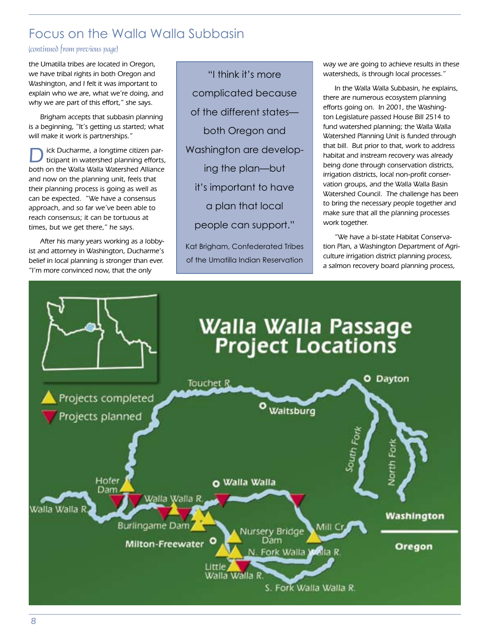## Focus on the Walla Walla Subbasin

#### (continued from previous page)

the Umatilla tribes are located in Oregon, we have tribal rights in both Oregon and Washington, and I felt it was important to explain who we are, what we're doing, and why we are part of this effort," she says.

Brigham accepts that subbasin planning is a beginning, "It's getting us started; what will make it work is partnerships."

ick Ducharme, a longtime citizen participant in watershed planning efforts, both on the Walla Walla Watershed Alliance and now on the planning unit, feels that their planning process is going as well as can be expected. "We have a consensus approach, and so far we've been able to reach consensus; it can be tortuous at times, but we get there," he says.

After his many years working as a lobbyist and attorney in Washington, Ducharme's belief in local planning is stronger than ever. "I'm more convinced now, that the only

"I think it's more complicated because of the different states both Oregon and Washington are developing the plan—but it's important to have a plan that local people can support."

Kat Brigham, Confederated Tribes of the Umatilla Indian Reservation

way we are going to achieve results in these watersheds, is through local processes."

In the Walla Walla Subbasin, he explains, there are numerous ecosystem planning efforts going on. In 2001, the Washington Legislature passed House Bill 2514 to fund watershed planning; the Walla Walla Watershed Planning Unit is funded through that bill. But prior to that, work to address habitat and instream recovery was already being done through conservation districts, irrigation districts, local non-profit conservation groups, and the Walla Walla Basin Watershed Council. The challenge has been to bring the necessary people together and make sure that all the planning processes work together.

"We have a bi-state Habitat Conservation Plan, a Washington Department of Agriculture irrigation district planning process, a salmon recovery board planning process,

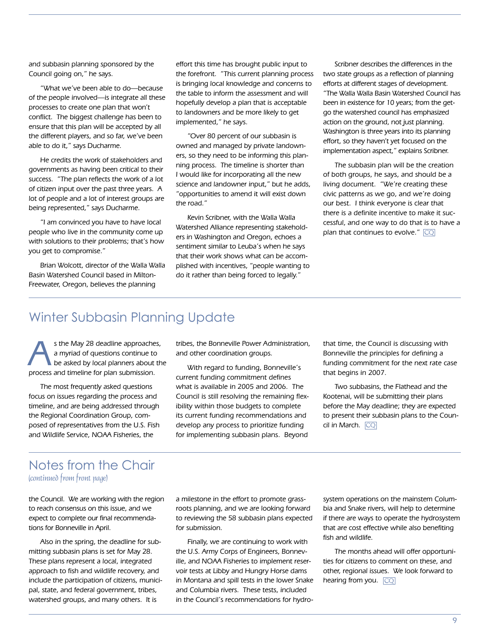and subbasin planning sponsored by the Council going on," he says.

"What we've been able to do—because of the people involved—is integrate all these processes to create one plan that won't conflict. The biggest challenge has been to ensure that this plan will be accepted by all the different players, and so far, we've been able to do it," says Ducharme.

He credits the work of stakeholders and governments as having been critical to their success. "The plan reflects the work of a lot of citizen input over the past three years. A lot of people and a lot of interest groups are being represented," says Ducharme.

"I am convinced you have to have local people who live in the community come up with solutions to their problems; that's how you get to compromise."

Brian Wolcott, director of the Walla Walla Basin Watershed Council based in Milton-Freewater, Oregon, believes the planning

effort this time has brought public input to the forefront. "This current planning process is bringing local knowledge and concerns to the table to inform the assessment and will hopefully develop a plan that is acceptable to landowners and be more likely to get implemented," he says.

"Over 80 percent of our subbasin is owned and managed by private landowners, so they need to be informing this planning process. The timeline is shorter than I would like for incorporating all the new science and landowner input," but he adds, "opportunities to amend it will exist down the road."

Kevin Scribner, with the Walla Walla Watershed Alliance representing stakeholders in Washington and Oregon, echoes a sentiment similar to Leuba's when he says that their work shows what can be accomplished with incentives, "people wanting to do it rather than being forced to legally."

Scribner describes the differences in the two state groups as a reflection of planning efforts at different stages of development. "The Walla Walla Basin Watershed Council has been in existence for 10 years; from the getgo the watershed council has emphasized action on the ground, not just planning. Washington is three years into its planning effort, so they haven't yet focused on the implementation aspect," explains Scribner.

The subbasin plan will be the creation of both groups, he says, and should be a living document. "We're creating these civic patterns as we go, and we're doing our best. I think everyone is clear that there is a definite incentive to make it successful, and one way to do that is to have a plan that continues to evolve."  $\overline{\mathbb{CQ}}$ 

## Winter Subbasin Planning Update

s the May 28 deadline approaches, a myriad of questions continue to be asked by local planners about the process and timeline for plan submission.

The most frequently asked questions focus on issues regarding the process and timeline, and are being addressed through the Regional Coordination Group, composed of representatives from the U.S. Fish and Wildlife Service, NOAA Fisheries, the

tribes, the Bonneville Power Administration, and other coordination groups.

With regard to funding, Bonneville's current funding commitment defines what is available in 2005 and 2006. The Council is still resolving the remaining flexibility within those budgets to complete its current funding recommendations and develop any process to prioritize funding for implementing subbasin plans. Beyond

that time, the Council is discussing with Bonneville the principles for defining a funding commitment for the next rate case that begins in 2007.

Two subbasins, the Flathead and the Kootenai, will be submitting their plans before the May deadline; they are expected to present their subbasin plans to the Council in March. CQ

### (continued from front page) Notes from the Chair

the Council. We are working with the region to reach consensus on this issue, and we expect to complete our final recommendations for Bonneville in April.

Also in the spring, the deadline for submitting subbasin plans is set for May 28. These plans represent a local, integrated approach to fish and wildlife recovery, and include the participation of citizens, municipal, state, and federal government, tribes, watershed groups, and many others. It is

a milestone in the effort to promote grassroots planning, and we are looking forward to reviewing the 58 subbasin plans expected for submission.

Finally, we are continuing to work with the U.S. Army Corps of Engineers, Bonneville, and NOAA Fisheries to implement reservoir tests at Libby and Hungry Horse dams in Montana and spill tests in the lower Snake and Columbia rivers. These tests, included in the Council's recommendations for hydrosystem operations on the mainstem Columbia and Snake rivers, will help to determine if there are ways to operate the hydrosystem that are cost effective while also benefiting fish and wildlife.

The months ahead will offer opportunities for citizens to comment on these, and other, regional issues. We look forward to hearing from you. CQ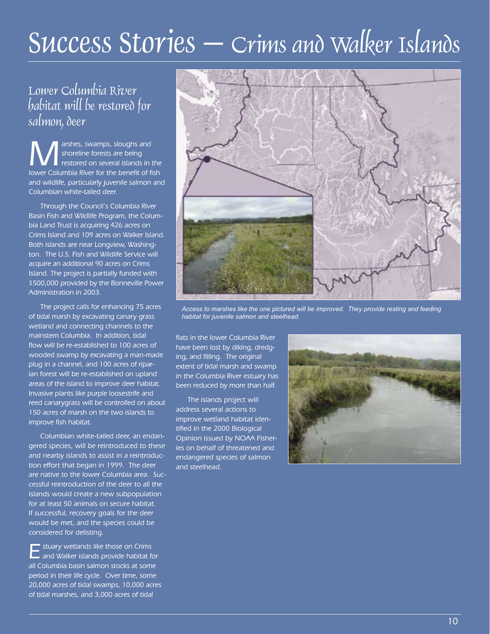# Success Stories – Crims and Walker Islands

## Lower Columbia River habitat will be restored for salmon, deer

**M** arshes, swamps, sloughs and<br>
restored on several islands in the<br>
lower Columbia Biver for the bonefit of fish shoreline forests are being lower Columbia River for the benefit of fish and wildlife, particularly juvenile salmon and Columbian white-tailed deer.

Through the Council's Columbia River Basin Fish and Wildlife Program, the Columbia Land Trust is acquiring 426 acres on Crims Island and 109 acres on Walker Island. Both islands are near Longview, Washington. The U.S. Fish and Wildlife Service will acquire an additional 90 acres on Crims Island. The project is partially funded with \$500,000 provided by the Bonneville Power Administration in 2003.

The project calls for enhancing 75 acres of tidal marsh by excavating canary grass wetland and connecting channels to the mainstem Columbia. In addition, tidal flow will be re-established to 100 acres of wooded swamp by excavating a man-made plug in a channel, and 100 acres of riparian forest will be re-established on upland areas of the island to improve deer habitat. Invasive plants like purple loosestrife and reed canarygrass will be controlled on about 150 acres of marsh on the two islands to improve fish habitat.

Columbian white-tailed deer, an endangered species, will be reintroduced to these and nearby islands to assist in a reintroduction effort that began in 1999. The deer are native to the lower Columbia area. Successful reintroduction of the deer to all the islands would create a new subpopulation for at least 50 animals on secure habitat. If successful, recovery goals for the deer would be met, and the species could be considered for delisting.

**Extuary wetlands like those on Crims L** and Walker islands provide habitat for all Columbia basin salmon stocks at some period in their life cycle. Over time, some 20,000 acres of tidal swamps, 10,000 acres of tidal marshes, and 3,000 acres of tidal



*Access to marshes like the one pictured will be improved. They provide resting and feeding habitat for juvenile salmon and steelhead.*

flats in the lower Columbia River have been lost by diking, dredging, and filling. The original extent of tidal marsh and swamp in the Columbia River estuary has been reduced by more than half.

The islands project will address several actions to improve wetland habitat identified in the 2000 Biological Opinion issued by NOAA Fisheries on behalf of threatened and endangered species of salmon and steelhead.

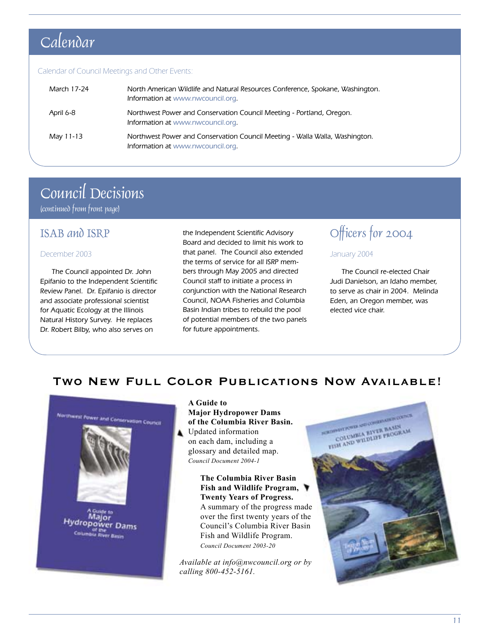## Calendar

#### Calendar of Council Meetings and Other Events:

| March 17-24 | North American Wildlife and Natural Resources Conference, Spokane, Washington.<br>Information at www.nwcouncil.org. |
|-------------|---------------------------------------------------------------------------------------------------------------------|
| April 6-8   | Northwest Power and Conservation Council Meeting - Portland, Oregon.<br>Information at www.nwcouncil.org.           |
| May 11-13   | Northwest Power and Conservation Council Meeting - Walla Walla, Washington.<br>Information at www.nwcouncil.org.    |

## Council Decisions

(continued from front page)

### ISAB and ISRP

#### December 2003

The Council appointed Dr. John Epifanio to the Independent Scientific Review Panel. Dr. Epifanio is director and associate professional scientist for Aquatic Ecology at the Illinois Natural History Survey. He replaces Dr. Robert Bilby, who also serves on

the Independent Scientific Advisory Board and decided to limit his work to that panel. The Council also extended the terms of service for all ISRP members through May 2005 and directed Council staff to initiate a process in conjunction with the National Research Council, NOAA Fisheries and Columbia Basin Indian tribes to rebuild the pool of potential members of the two panels for future appointments.

## Officers for 2004

#### January 2004

The Council re-elected Chair Judi Danielson, an Idaho member, to serve as chair in 2004. Melinda Eden, an Oregon member, was elected vice chair.

### **Two New Full Color Publications Now Available!**



**A Guide to Major Hydropower Dams of the Columbia River Basin.** Updated information on each dam, including a glossary and detailed map. *Council Document 2004-1*

> **The Columbia River Basin Fish and Wildlife Program, Twenty Years of Progress.** A summary of the progress made over the first twenty years of the Council's Columbia River Basin Fish and Wildlife Program. *Council Document 2003-20*

*Available at info@nwcouncil.org or by calling 800-452-5161.*